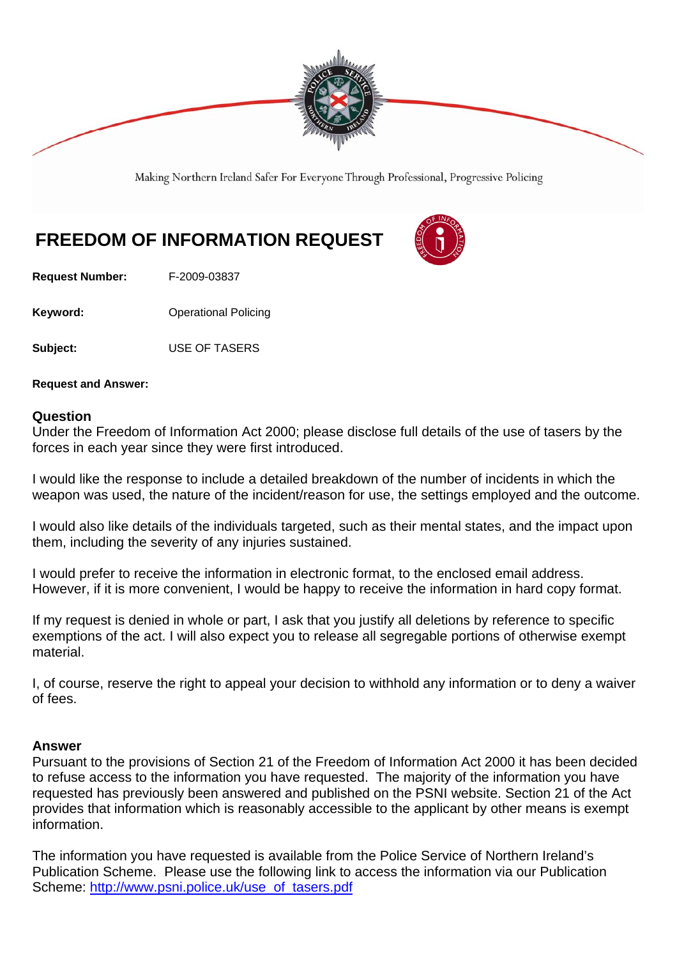

Making Northern Ireland Safer For Everyone Through Professional, Progressive Policing

## **FREEDOM OF INFORMATION REQUEST**



**Request Number:** F-2009-03837

**Keyword: Conservery Operational Policing** 

**Subject:** USE OF TASERS

**Request and Answer:** 

## **Question**

Under the Freedom of Information Act 2000; please disclose full details of the use of tasers by the forces in each year since they were first introduced.

I would like the response to include a detailed breakdown of the number of incidents in which the weapon was used, the nature of the incident/reason for use, the settings employed and the outcome.

I would also like details of the individuals targeted, such as their mental states, and the impact upon them, including the severity of any injuries sustained.

I would prefer to receive the information in electronic format, to the enclosed email address. However, if it is more convenient, I would be happy to receive the information in hard copy format.

If my request is denied in whole or part, I ask that you justify all deletions by reference to specific exemptions of the act. I will also expect you to release all segregable portions of otherwise exempt material.

I, of course, reserve the right to appeal your decision to withhold any information or to deny a waiver of fees.

## **Answer**

Pursuant to the provisions of Section 21 of the Freedom of Information Act 2000 it has been decided to refuse access to the information you have requested. The majority of the information you have requested has previously been answered and published on the PSNI website. Section 21 of the Act provides that information which is reasonably accessible to the applicant by other means is exempt information.

The information you have requested is available from the Police Service of Northern Ireland's Publication Scheme. Please use the following link to access the information via our Publication Scheme: http://www.psni.police.uk/use\_of\_tasers.pdf